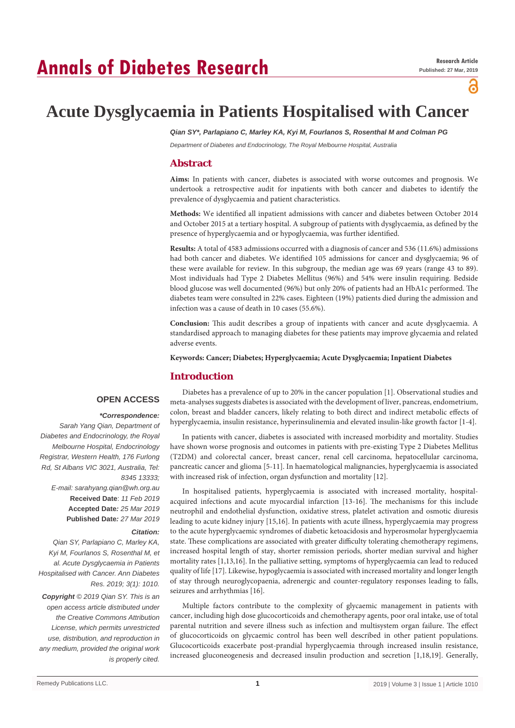# **Annals of Diabetes Research**

ဥ

## **Acute Dysglycaemia in Patients Hospitalised with Cancer**

*Qian SY\*, Parlapiano C, Marley KA, Kyi M, Fourlanos S, Rosenthal M and Colman PG*

*Department of Diabetes and Endocrinology, The Royal Melbourne Hospital, Australia*

#### **Abstract**

**Aims:** In patients with cancer, diabetes is associated with worse outcomes and prognosis. We undertook a retrospective audit for inpatients with both cancer and diabetes to identify the prevalence of dysglycaemia and patient characteristics.

**Methods:** We identified all inpatient admissions with cancer and diabetes between October 2014 and October 2015 at a tertiary hospital. A subgroup of patients with dysglycaemia, as defined by the presence of hyperglycaemia and or hypoglycaemia, was further identified.

**Results:** A total of 4583 admissions occurred with a diagnosis of cancer and 536 (11.6%) admissions had both cancer and diabetes. We identified 105 admissions for cancer and dysglycaemia; 96 of these were available for review. In this subgroup, the median age was 69 years (range 43 to 89). Most individuals had Type 2 Diabetes Mellitus (96%) and 54% were insulin requiring. Bedside blood glucose was well documented (96%) but only 20% of patients had an HbA1c performed. The diabetes team were consulted in 22% cases. Eighteen (19%) patients died during the admission and infection was a cause of death in 10 cases (55.6%).

**Conclusion:** This audit describes a group of inpatients with cancer and acute dysglycaemia. A standardised approach to managing diabetes for these patients may improve glycaemia and related adverse events.

**Keywords: Cancer; Diabetes; Hyperglycaemia; Acute Dysglycaemia; Inpatient Diabetes**

### **Introduction**

#### **OPEN ACCESS**

#### *\*Correspondence:*

*Sarah Yang Qian, Department of Diabetes and Endocrinology, the Royal Melbourne Hospital, Endocrinology Registrar, Western Health, 176 Furlong Rd, St Albans VIC 3021, Australia, Tel: 8345 13333; E-mail: sarahyang.qian@wh.org.au* **Received Date**: *11 Feb 2019* **Accepted Date***: 25 Mar 2019* **Published Date***: 27 Mar 2019 Citation:* 

*Qian SY, Parlapiano C, Marley KA, Kyi M, Fourlanos S, Rosenthal M, et al. Acute Dysglycaemia in Patients Hospitalised with Cancer. Ann Diabetes Res. 2019; 3(1): 1010.*

*Copyright © 2019 Qian SY. This is an open access article distributed under the Creative Commons Attribution License, which permits unrestricted use, distribution, and reproduction in any medium, provided the original work is properly cited.*

Diabetes has a prevalence of up to 20% in the cancer population [1]. Observational studies and meta-analyses suggests diabetes is associated with the development of liver, pancreas, endometrium, colon, breast and bladder cancers, likely relating to both direct and indirect metabolic effects of hyperglycaemia, insulin resistance, hyperinsulinemia and elevated insulin-like growth factor [1-4].

In patients with cancer, diabetes is associated with increased morbidity and mortality. Studies have shown worse prognosis and outcomes in patients with pre-existing Type 2 Diabetes Mellitus (T2DM) and colorectal cancer, breast cancer, renal cell carcinoma, hepatocellular carcinoma, pancreatic cancer and glioma [5-11]. In haematological malignancies, hyperglycaemia is associated with increased risk of infection, organ dysfunction and mortality [12].

In hospitalised patients, hyperglycaemia is associated with increased mortality, hospitalacquired infections and acute myocardial infarction [13-16]. The mechanisms for this include neutrophil and endothelial dysfunction, oxidative stress, platelet activation and osmotic diuresis leading to acute kidney injury [15,16]. In patients with acute illness, hyperglycaemia may progress to the acute hyperglycaemic syndromes of diabetic ketoacidosis and hyperosmolar hyperglycaemia state. These complications are associated with greater difficulty tolerating chemotherapy regimens, increased hospital length of stay, shorter remission periods, shorter median survival and higher mortality rates [1,13,16]. In the palliative setting, symptoms of hyperglycaemia can lead to reduced quality of life [17]. Likewise, hypoglycaemia is associated with increased mortality and longer length of stay through neuroglycopaenia, adrenergic and counter-regulatory responses leading to falls, seizures and arrhythmias [16].

Multiple factors contribute to the complexity of glycaemic management in patients with cancer, including high dose glucocorticoids and chemotherapy agents, poor oral intake, use of total parental nutrition and severe illness such as infection and multisystem organ failure. The effect of glucocorticoids on glycaemic control has been well described in other patient populations. Glucocorticoids exacerbate post-prandial hyperglycaemia through increased insulin resistance, increased gluconeogenesis and decreased insulin production and secretion [1,18,19]. Generally,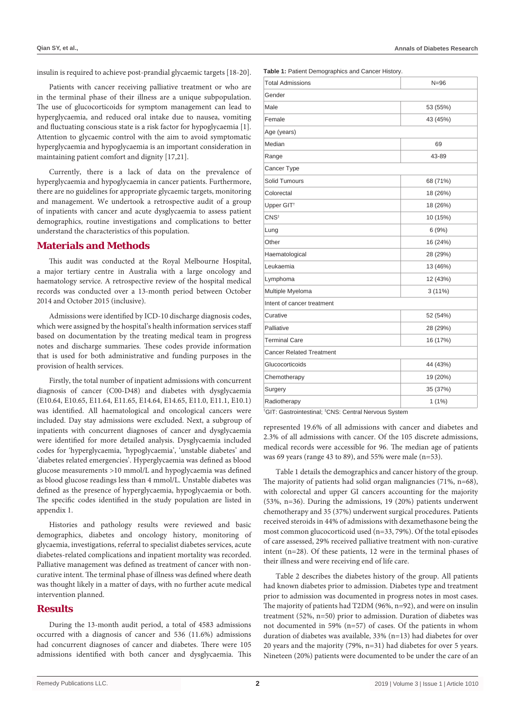insulin is required to achieve post-prandial glycaemic targets [18-20].

Patients with cancer receiving palliative treatment or who are in the terminal phase of their illness are a unique subpopulation. The use of glucocorticoids for symptom management can lead to hyperglycaemia, and reduced oral intake due to nausea, vomiting and fluctuating conscious state is a risk factor for hypoglycaemia [1]. Attention to glycaemic control with the aim to avoid symptomatic hyperglycaemia and hypoglycaemia is an important consideration in maintaining patient comfort and dignity [17,21].

Currently, there is a lack of data on the prevalence of hyperglycaemia and hypoglycaemia in cancer patients. Furthermore, there are no guidelines for appropriate glycaemic targets, monitoring and management. We undertook a retrospective audit of a group of inpatients with cancer and acute dysglycaemia to assess patient demographics, routine investigations and complications to better understand the characteristics of this population.

#### **Materials and Methods**

This audit was conducted at the Royal Melbourne Hospital, a major tertiary centre in Australia with a large oncology and haematology service. A retrospective review of the hospital medical records was conducted over a 13-month period between October 2014 and October 2015 (inclusive).

Admissions were identified by ICD-10 discharge diagnosis codes, which were assigned by the hospital's health information services staff based on documentation by the treating medical team in progress notes and discharge summaries. These codes provide information that is used for both administrative and funding purposes in the provision of health services.

Firstly, the total number of inpatient admissions with concurrent diagnosis of cancer (C00-D48) and diabetes with dysglycaemia (E10.64, E10.65, E11.64, E11.65, E14.64, E14.65, E11.0, E11.1, E10.1) was identified. All haematological and oncological cancers were included. Day stay admissions were excluded. Next, a subgroup of inpatients with concurrent diagnoses of cancer and dysglycaemia were identified for more detailed analysis. Dysglycaemia included codes for 'hyperglycaemia, 'hypoglycaemia', 'unstable diabetes' and 'diabetes related emergencies'. Hyperglycaemia was defined as blood glucose measurements >10 mmol/L and hypoglycaemia was defined as blood glucose readings less than 4 mmol/L. Unstable diabetes was defined as the presence of hyperglycaemia, hypoglycaemia or both. The specific codes identified in the study population are listed in appendix 1.

Histories and pathology results were reviewed and basic demographics, diabetes and oncology history, monitoring of glycaemia, investigations, referral to specialist diabetes services, acute diabetes-related complications and inpatient mortality was recorded. Palliative management was defined as treatment of cancer with noncurative intent. The terminal phase of illness was defined where death was thought likely in a matter of days, with no further acute medical intervention planned.

#### **Results**

During the 13-month audit period, a total of 4583 admissions occurred with a diagnosis of cancer and 536 (11.6%) admissions had concurrent diagnoses of cancer and diabetes. There were 105 admissions identified with both cancer and dysglycaemia. This **Table 1:** Patient Demographics and Cancer History.

| <b>Total Admissions</b>    | $N = 96$  |  |
|----------------------------|-----------|--|
| Gender                     |           |  |
| Male                       | 53 (55%)  |  |
| Female                     | 43 (45%)  |  |
| Age (years)                |           |  |
| Median                     | 69        |  |
| Range                      | 43-89     |  |
| Cancer Type                |           |  |
| <b>Solid Tumours</b>       | 68 (71%)  |  |
| Colorectal                 | 18 (26%)  |  |
| Upper GIT <sup>+</sup>     | 18 (26%)  |  |
| CNS <sup>‡</sup>           | 10 (15%)  |  |
| Lung                       | 6(9%)     |  |
| Other                      | 16 (24%)  |  |
| Haematological             | 28 (29%)  |  |
| Leukaemia                  | 13 (46%)  |  |
| Lymphoma                   | 12 (43%)  |  |
| Multiple Myeloma           | $3(11\%)$ |  |
| Intent of cancer treatment |           |  |
| Curative                   | 52 (54%)  |  |
| Palliative                 | 28 (29%)  |  |
| <b>Terminal Care</b>       | 16 (17%)  |  |
| Cancer Related Treatment   |           |  |
| Glucocorticoids            | 44 (43%)  |  |
| Chemotherapy               | 19 (20%)  |  |
| Surgery                    | 35 (37%)  |  |
| Radiotherapy               | $1(1\%)$  |  |

† GIT: Gastrointestinal; ‡ CNS: Central Nervous System

represented 19.6% of all admissions with cancer and diabetes and 2.3% of all admissions with cancer. Of the 105 discrete admissions, medical records were accessible for 96. The median age of patients was 69 years (range 43 to 89), and 55% were male (n=53).

Table 1 details the demographics and cancer history of the group. The majority of patients had solid organ malignancies (71%, n=68), with colorectal and upper GI cancers accounting for the majority (53%, n=36). During the admissions, 19 (20%) patients underwent chemotherapy and 35 (37%) underwent surgical procedures. Patients received steroids in 44% of admissions with dexamethasone being the most common glucocorticoid used (n=33, 79%). Of the total episodes of care assessed, 29% received palliative treatment with non-curative intent (n=28). Of these patients, 12 were in the terminal phases of their illness and were receiving end of life care.

Table 2 describes the diabetes history of the group. All patients had known diabetes prior to admission. Diabetes type and treatment prior to admission was documented in progress notes in most cases. The majority of patients had T2DM (96%, n=92), and were on insulin treatment (52%, n=50) prior to admission. Duration of diabetes was not documented in 59% (n=57) of cases. Of the patients in whom duration of diabetes was available, 33% (n=13) had diabetes for over 20 years and the majority (79%, n=31) had diabetes for over 5 years. Nineteen (20%) patients were documented to be under the care of an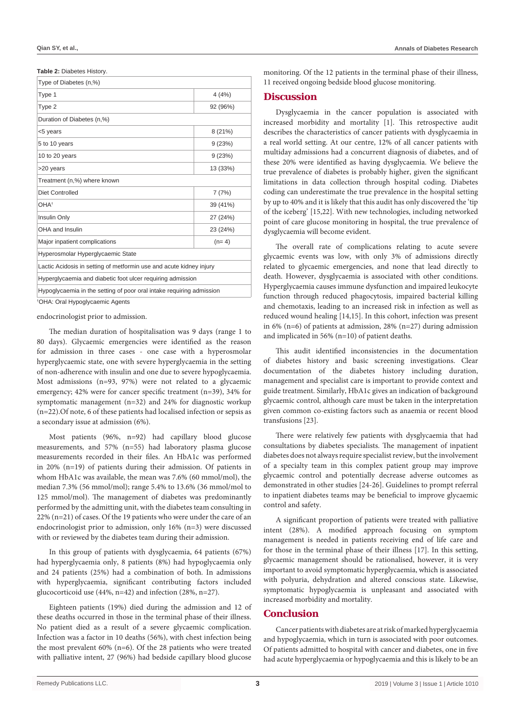| Table 2: Diabetes History. |  |
|----------------------------|--|
|----------------------------|--|

| Type of Diabetes (n,%)                                               |          |
|----------------------------------------------------------------------|----------|
| Type 1                                                               | 4(4%)    |
| Type 2                                                               | 92 (96%) |
| Duration of Diabetes (n,%)                                           |          |
| <5 years                                                             | 8(21%)   |
| 5 to 10 years                                                        | 9(23%)   |
| 10 to 20 years                                                       | 9(23%)   |
| >20 years                                                            | 13 (33%) |
| Treatment (n,%) where known                                          |          |
| <b>Diet Controlled</b>                                               | 7(7%)    |
| OHA <sup>+</sup>                                                     | 39 (41%) |
| Insulin Only                                                         | 27 (24%) |
| OHA and Insulin                                                      | 23 (24%) |
| Major inpatient complications                                        | $(n=4)$  |
| Hyperosmolar Hyperglycaemic State                                    |          |
| Lactic Acidosis in setting of metformin use and acute kidney injury  |          |
| Hyperglycaemia and diabetic foot ulcer requiring admission           |          |
| Hypoglycaemia in the setting of poor oral intake requiring admission |          |
|                                                                      |          |

† OHA: Oral Hypoglycaemic Agents

endocrinologist prior to admission.

The median duration of hospitalisation was 9 days (range 1 to 80 days). Glycaemic emergencies were identified as the reason for admission in three cases - one case with a hyperosmolar hyperglycaemic state, one with severe hyperglycaemia in the setting of non-adherence with insulin and one due to severe hypoglycaemia. Most admissions (n=93, 97%) were not related to a glycaemic emergency; 42% were for cancer specific treatment (n=39), 34% for symptomatic management (n=32) and 24% for diagnostic workup (n=22).Of note, 6 of these patients had localised infection or sepsis as a secondary issue at admission (6%).

Most patients (96%, n=92) had capillary blood glucose measurements, and 57% (n=55) had laboratory plasma glucose measurements recorded in their files. An HbA1c was performed in 20% (n=19) of patients during their admission. Of patients in whom HbA1c was available, the mean was 7.6% (60 mmol/mol), the median 7.3% (56 mmol/mol); range 5.4% to 13.6% (36 mmol/mol to 125 mmol/mol). The management of diabetes was predominantly performed by the admitting unit, with the diabetes team consulting in 22% (n=21) of cases. Of the 19 patients who were under the care of an endocrinologist prior to admission, only 16% (n=3) were discussed with or reviewed by the diabetes team during their admission.

In this group of patients with dysglycaemia, 64 patients (67%) had hyperglycaemia only, 8 patients (8%) had hypoglycaemia only and 24 patients (25%) had a combination of both. In admissions with hyperglycaemia, significant contributing factors included glucocorticoid use (44%, n=42) and infection (28%, n=27).

Eighteen patients (19%) died during the admission and 12 of these deaths occurred in those in the terminal phase of their illness. No patient died as a result of a severe glycaemic complication. Infection was a factor in 10 deaths (56%), with chest infection being the most prevalent 60% (n=6). Of the 28 patients who were treated with palliative intent, 27 (96%) had bedside capillary blood glucose monitoring. Of the 12 patients in the terminal phase of their illness, 11 received ongoing bedside blood glucose monitoring.

#### **Discussion**

Dysglycaemia in the cancer population is associated with increased morbidity and mortality [1]. This retrospective audit describes the characteristics of cancer patients with dysglycaemia in a real world setting. At our centre, 12% of all cancer patients with multiday admissions had a concurrent diagnosis of diabetes, and of these 20% were identified as having dysglycaemia. We believe the true prevalence of diabetes is probably higher, given the significant limitations in data collection through hospital coding. Diabetes coding can underestimate the true prevalence in the hospital setting by up to 40% and it is likely that this audit has only discovered the 'tip of the iceberg' [15,22]. With new technologies, including networked point of care glucose monitoring in hospital, the true prevalence of dysglycaemia will become evident.

The overall rate of complications relating to acute severe glycaemic events was low, with only 3% of admissions directly related to glycaemic emergencies, and none that lead directly to death. However, dysglycaemia is associated with other conditions. Hyperglycaemia causes immune dysfunction and impaired leukocyte function through reduced phagocytosis, impaired bacterial killing and chemotaxis, leading to an increased risk in infection as well as reduced wound healing [14,15]. In this cohort, infection was present in 6% (n=6) of patients at admission, 28% (n=27) during admission and implicated in 56% (n=10) of patient deaths.

This audit identified inconsistencies in the documentation of diabetes history and basic screening investigations. Clear documentation of the diabetes history including duration, management and specialist care is important to provide context and guide treatment. Similarly, HbA1c gives an indication of background glycaemic control, although care must be taken in the interpretation given common co-existing factors such as anaemia or recent blood transfusions [23].

There were relatively few patients with dysglycaemia that had consultations by diabetes specialists. The management of inpatient diabetes does not always require specialist review, but the involvement of a specialty team in this complex patient group may improve glycaemic control and potentially decrease adverse outcomes as demonstrated in other studies [24-26]. Guidelines to prompt referral to inpatient diabetes teams may be beneficial to improve glycaemic control and safety.

A significant proportion of patients were treated with palliative intent (28%). A modified approach focusing on symptom management is needed in patients receiving end of life care and for those in the terminal phase of their illness [17]. In this setting, glycaemic management should be rationalised, however, it is very important to avoid symptomatic hyperglycaemia, which is associated with polyuria, dehydration and altered conscious state. Likewise, symptomatic hypoglycaemia is unpleasant and associated with increased morbidity and mortality.

#### **Conclusion**

Cancer patients with diabetes are at risk of marked hyperglycaemia and hypoglycaemia, which in turn is associated with poor outcomes. Of patients admitted to hospital with cancer and diabetes, one in five had acute hyperglycaemia or hypoglycaemia and this is likely to be an